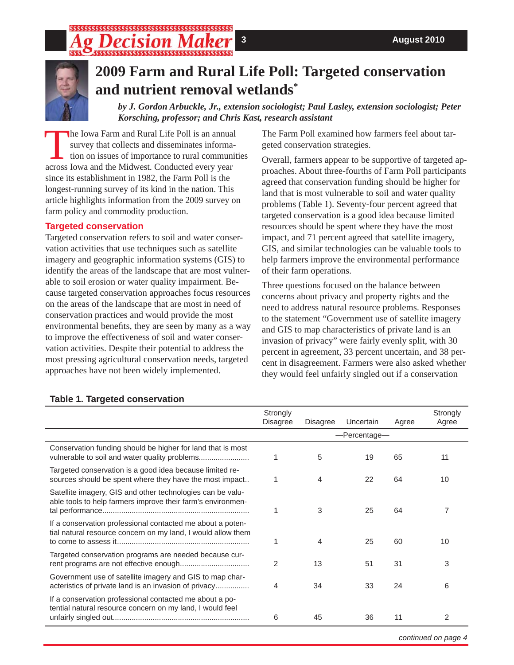# \$\$\$\$\$\$\$\$\$\$\$\$\$\$\$\$\$\$\$\$\$\$\$\$\$\$\$\$\$\$\$\$\$\$\$\$\$\$



# **2009 Farm and Rural Life Poll: Targeted conservation and nutrient removal wetlands\***

*by J. Gordon Arbuckle, Jr., extension sociologist; Paul Lasley, extension sociologist; Peter Korsching, professor; and Chris Kast, research assistant*

The Iowa Farm and Rural Life Poll is an annual survey that collects and disseminates information on issues of importance to rural communities across Iowa and the Midwest. Conducted every year since its establishment in 1982, the Farm Poll is the longest-running survey of its kind in the nation. This article highlights information from the 2009 survey on farm policy and commodity production.

## **Targeted conservation**

Targeted conservation refers to soil and water conservation activities that use techniques such as satellite imagery and geographic information systems (GIS) to identify the areas of the landscape that are most vulnerable to soil erosion or water quality impairment. Because targeted conservation approaches focus resources on the areas of the landscape that are most in need of conservation practices and would provide the most environmental benefits, they are seen by many as a way to improve the effectiveness of soil and water conservation activities. Despite their potential to address the most pressing agricultural conservation needs, targeted approaches have not been widely implemented.

The Farm Poll examined how farmers feel about targeted conservation strategies.

Overall, farmers appear to be supportive of targeted approaches. About three-fourths of Farm Poll participants agreed that conservation funding should be higher for land that is most vulnerable to soil and water quality problems (Table 1). Seventy-four percent agreed that targeted conservation is a good idea because limited resources should be spent where they have the most impact, and 71 percent agreed that satellite imagery, GIS, and similar technologies can be valuable tools to help farmers improve the environmental performance of their farm operations.

Three questions focused on the balance between concerns about privacy and property rights and the need to address natural resource problems. Responses to the statement "Government use of satellite imagery and GIS to map characteristics of private land is an invasion of privacy" were fairly evenly split, with 30 percent in agreement, 33 percent uncertain, and 38 percent in disagreement. Farmers were also asked whether they would feel unfairly singled out if a conservation

|                                                                                                                            | Strongly<br><b>Disagree</b> | <b>Disagree</b> | Uncertain | Agree | Strongly<br>Agree |  |
|----------------------------------------------------------------------------------------------------------------------------|-----------------------------|-----------------|-----------|-------|-------------------|--|
|                                                                                                                            | -Percentage-                |                 |           |       |                   |  |
| Conservation funding should be higher for land that is most                                                                |                             | 5               | 19        | 65    | 11                |  |
| Targeted conservation is a good idea because limited re-<br>sources should be spent where they have the most impact        |                             | 4               | 22        | 64    | 10                |  |
| Satellite imagery, GIS and other technologies can be valu-<br>able tools to help farmers improve their farm's environmen-  |                             | 3               | 25        | 64    |                   |  |
| If a conservation professional contacted me about a poten-<br>tial natural resource concern on my land, I would allow them |                             | 4               | 25        | 60    | 10                |  |
| Targeted conservation programs are needed because cur-                                                                     | 2                           | 13              | 51        | 31    | 3                 |  |
| Government use of satellite imagery and GIS to map char-<br>acteristics of private land is an invasion of privacy          | 4                           | 34              | 33        | 24    | 6                 |  |
| If a conservation professional contacted me about a po-<br>tential natural resource concern on my land, I would feel       | 6                           | 45              | 36        | 11    | 2                 |  |

## **Table 1. Targeted conservation**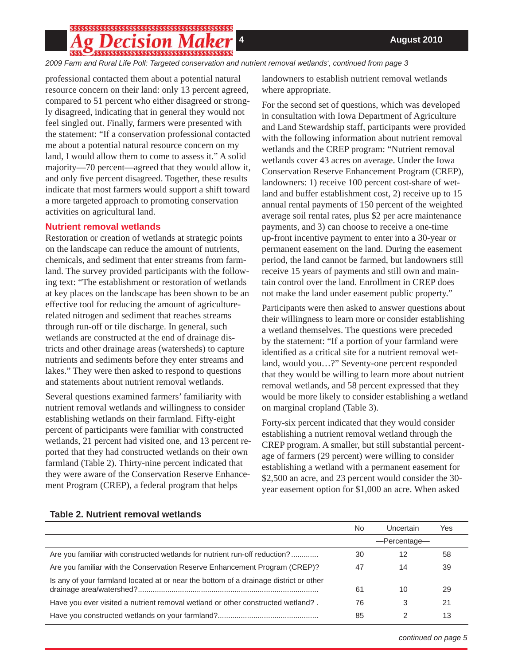# 

*2009 Farm and Rural Life Poll: Targeted conservation and nutrient removal wetlands\* , continued from page 3*

professional contacted them about a potential natural resource concern on their land: only 13 percent agreed, compared to 51 percent who either disagreed or strongly disagreed, indicating that in general they would not feel singled out. Finally, farmers were presented with the statement: "If a conservation professional contacted me about a potential natural resource concern on my land, I would allow them to come to assess it." A solid majority—70 percent—agreed that they would allow it, and only five percent disagreed. Together, these results indicate that most farmers would support a shift toward a more targeted approach to promoting conservation activities on agricultural land.

#### **Nutrient removal wetlands**

Restoration or creation of wetlands at strategic points on the landscape can reduce the amount of nutrients, chemicals, and sediment that enter streams from farmland. The survey provided participants with the following text: "The establishment or restoration of wetlands at key places on the landscape has been shown to be an effective tool for reducing the amount of agriculturerelated nitrogen and sediment that reaches streams through run-off or tile discharge. In general, such wetlands are constructed at the end of drainage districts and other drainage areas (watersheds) to capture nutrients and sediments before they enter streams and lakes." They were then asked to respond to questions and statements about nutrient removal wetlands.

Several questions examined farmers' familiarity with nutrient removal wetlands and willingness to consider establishing wetlands on their farmland. Fifty-eight percent of participants were familiar with constructed wetlands, 21 percent had visited one, and 13 percent reported that they had constructed wetlands on their own farmland (Table 2). Thirty-nine percent indicated that they were aware of the Conservation Reserve Enhancement Program (CREP), a federal program that helps

landowners to establish nutrient removal wetlands where appropriate.

For the second set of questions, which was developed in consultation with Iowa Department of Agriculture and Land Stewardship staff, participants were provided with the following information about nutrient removal wetlands and the CREP program: "Nutrient removal wetlands cover 43 acres on average. Under the Iowa Conservation Reserve Enhancement Program (CREP), landowners: 1) receive 100 percent cost-share of wetland and buffer establishment cost, 2) receive up to 15 annual rental payments of 150 percent of the weighted average soil rental rates, plus \$2 per acre maintenance payments, and 3) can choose to receive a one-time up-front incentive payment to enter into a 30-year or permanent easement on the land. During the easement period, the land cannot be farmed, but landowners still receive 15 years of payments and still own and maintain control over the land. Enrollment in CREP does not make the land under easement public property."

Participants were then asked to answer questions about their willingness to learn more or consider establishing a wetland themselves. The questions were preceded by the statement: "If a portion of your farmland were identified as a critical site for a nutrient removal wetland, would you…?" Seventy-one percent responded that they would be willing to learn more about nutrient removal wetlands, and 58 percent expressed that they would be more likely to consider establishing a wetland on marginal cropland (Table 3).

Forty-six percent indicated that they would consider establishing a nutrient removal wetland through the CREP program. A smaller, but still substantial percentage of farmers (29 percent) were willing to consider establishing a wetland with a permanent easement for \$2,500 an acre, and 23 percent would consider the 30 year easement option for \$1,000 an acre. When asked

|                                                                                       | Uncertain<br>No. |    | Yes |
|---------------------------------------------------------------------------------------|------------------|----|-----|
|                                                                                       | -Percentage-     |    |     |
| Are you familiar with constructed wetlands for nutrient run-off reduction?            | 30               | 12 | 58  |
| Are you familiar with the Conservation Reserve Enhancement Program (CREP)?            | 47               | 14 | 39  |
| Is any of your farmland located at or near the bottom of a drainage district or other | 61               | 10 | 29  |
| Have you ever visited a nutrient removal wetland or other constructed wetland?.       | 76               | 3  | 21  |
|                                                                                       | 85               |    | 13  |

## **Table 2. Nutrient removal wetlands**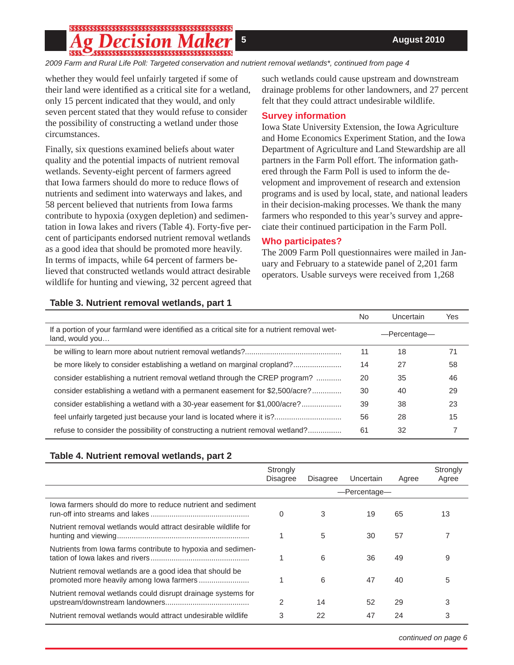# \$\$\$\$\$\$\$\$\$\$\$\$\$\$\$\$\$\$\$\$\$\$\$\$\$\$\$\$\$\$\$\$\$\$\$\$\$\$

*2009 Farm and Rural Life Poll: Targeted conservation and nutrient removal wetlands\*, continued from page 4*

whether they would feel unfairly targeted if some of their land were identified as a critical site for a wetland, only 15 percent indicated that they would, and only seven percent stated that they would refuse to consider the possibility of constructing a wetland under those circumstances.

Finally, six questions examined beliefs about water quality and the potential impacts of nutrient removal wetlands. Seventy-eight percent of farmers agreed that Iowa farmers should do more to reduce flows of nutrients and sediment into waterways and lakes, and 58 percent believed that nutrients from Iowa farms contribute to hypoxia (oxygen depletion) and sedimentation in Iowa lakes and rivers (Table 4). Forty-five percent of participants endorsed nutrient removal wetlands as a good idea that should be promoted more heavily. In terms of impacts, while 64 percent of farmers believed that constructed wetlands would attract desirable wildlife for hunting and viewing, 32 percent agreed that such wetlands could cause upstream and downstream drainage problems for other landowners, and 27 percent felt that they could attract undesirable wildlife.

## **Survey information**

Iowa State University Extension, the Iowa Agriculture and Home Economics Experiment Station, and the Iowa Department of Agriculture and Land Stewardship are all partners in the Farm Poll effort. The information gathered through the Farm Poll is used to inform the development and improvement of research and extension programs and is used by local, state, and national leaders in their decision-making processes. We thank the many farmers who responded to this year's survey and appreciate their continued participation in the Farm Poll.

### **Who participates?**

The 2009 Farm Poll questionnaires were mailed in January and February to a statewide panel of 2,201 farm operators. Usable surveys were received from 1,268

#### **Table 3. Nutrient removal wetlands, part 1**

|                                                                                                                 | No           | Uncertain | Yes |
|-----------------------------------------------------------------------------------------------------------------|--------------|-----------|-----|
| If a portion of your farmland were identified as a critical site for a nutrient removal wet-<br>land, would you | -Percentage- |           |     |
|                                                                                                                 | 11           | 18        | 71  |
| be more likely to consider establishing a wetland on marginal cropland?                                         | 14           | 27        | 58  |
| consider establishing a nutrient removal wetland through the CREP program?                                      | 20           | 35        | 46  |
| consider establishing a wetland with a permanent easement for \$2,500/acre?                                     | 30           | 40        | 29  |
| consider establishing a wetland with a 30-year easement for \$1,000/acre?                                       | 39           | 38        | 23  |
| feel unfairly targeted just because your land is located where it is?                                           | 56           | 28        | 15  |
| refuse to consider the possibility of constructing a nutrient removal wetland?                                  | 61           | 32        |     |

### **Table 4. Nutrient removal wetlands, part 2**

|                                                                | Strongly<br><b>Disagree</b> | <b>Disagree</b> | Uncertain | Agree | Strongly<br>Agree |  |
|----------------------------------------------------------------|-----------------------------|-----------------|-----------|-------|-------------------|--|
|                                                                |                             | -Percentage-    |           |       |                   |  |
| lowa farmers should do more to reduce nutrient and sediment    | 0                           | 3               | 19        | 65    | 13                |  |
| Nutrient removal wetlands would attract desirable wildlife for | 1                           | 5               | 30        | 57    |                   |  |
| Nutrients from lowa farms contribute to hypoxia and sedimen-   | 4                           | 6               | 36        | 49    | 9                 |  |
| Nutrient removal wetlands are a good idea that should be       | 1                           | 6               | 47        | 40    | 5                 |  |
| Nutrient removal wetlands could disrupt drainage systems for   | $\mathfrak{p}$              | 14              | 52        | 29    | 3                 |  |
| Nutrient removal wetlands would attract undesirable wildlife   | 3                           | 22              | 47        | 24    | 3                 |  |